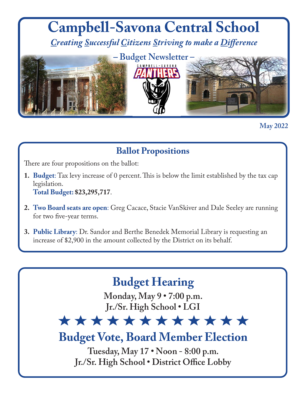

**May 2022**

## **Ballot Propositions**

There are four propositions on the ballot:

- **1. Budget**: Tax levy increase of 0 percent. This is below the limit established by the tax cap legislation. **Total Budget: \$23,295,717**.
- **2. Two Board seats are open**: Greg Cacace, Stacie VanSkiver and Dale Seeley are running for two five-year terms.
- **3. Public Library**: Dr. Sandor and Berthe Benedek Memorial Library is requesting an increase of \$2,900 in the amount collected by the District on its behalf.

# **Budget Hearing**

**Monday, May 9 • 7:00 p.m. Jr./Sr. High School • LGI**

# \*\*\*\*\*\*\*\*\*\*\*\*

**Budget Vote, Board Member Election** 

**Tuesday, May 17 • Noon - 8:00 p.m. Jr./Sr. High School • District Office Lobby**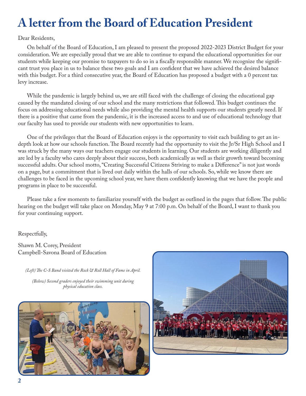# **A letter from the Board of Education President**

#### Dear Residents,

On behalf of the Board of Education, I am pleased to present the proposed 2022-2023 District Budget for your consideration. We are especially proud that we are able to continue to expand the educational opportunities for our students while keeping our promise to taxpayers to do so in a fiscally responsible manner. We recognize the significant trust you place in us to balance these two goals and I am confident that we have achieved the desired balance with this budget. For a third consecutive year, the Board of Education has proposed a budget with a 0 percent tax levy increase.

While the pandemic is largely behind us, we are still faced with the challenge of closing the educational gap caused by the mandated closing of our school and the many restrictions that followed. This budget continues the focus on addressing educational needs while also providing the mental health supports our students greatly need. If there is a positive that came from the pandemic, it is the increased access to and use of educational technology that our faculty has used to provide our students with new opportunities to learn.

One of the privileges that the Board of Education enjoys is the opportunity to visit each building to get an indepth look at how our schools function. The Board recently had the opportunity to visit the Jr/Sr High School and I was struck by the many ways our teachers engage our students in learning. Our students are working diligently and are led by a faculty who cares deeply about their success, both academically as well as their growth toward becoming successful adults. Our school motto, "Creating Successful Citizens Striving to make a Difference" is not just words on a page, but a commitment that is lived out daily within the halls of our schools. So, while we know there are challenges to be faced in the upcoming school year, we have them confidently knowing that we have the people and programs in place to be successful.

Please take a few moments to familiarize yourself with the budget as outlined in the pages that follow. The public hearing on the budget will take place on Monday, May 9 at 7:00 p.m. On behalf of the Board, I want to thank you for your continuing support.

Respectfully,

Shawn M. Corey, President Campbell-Savona Board of Education

*(Left) The C-S Band visited the Rock & Roll Hall of Fame in April.*

*(Below) Second graders enjoyed their swimming unit during physical education class.*



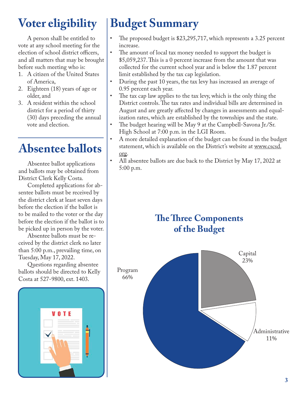# **Voter eligibility**

A person shall be entitled to vote at any school meeting for the election of school district officers, and all matters that may be brought before such meeting who is:

- 1. A citizen of the United States of America,
- 2. Eighteen (18) years of age or older, and
- 3. A resident within the school district for a period of thirty (30) days preceding the annual vote and election.

# **Absentee ballots**

Absentee ballot applications and ballots may be obtained from District Clerk Kelly Costa.

Completed applications for absentee ballots must be received by the district clerk at least seven days before the election if the ballot is to be mailed to the voter or the day before the election if the ballot is to be picked up in person by the voter.

Absentee ballots must be received by the district clerk no later than 5:00 p.m., prevailing time, on Tuesday, May 17, 2022.

Questions regarding absentee ballots should be directed to Kelly Costa at 527-9800, ext. 1403.



# **Budget Summary**

- The proposed budget is \$23,295,717, which represents a 3.25 percent increase.
- The amount of local tax money needed to support the budget is \$5,059,237. This is a 0 percent increase from the amount that was collected for the current school year and is below the 1.87 percent limit established by the tax cap legislation.
- During the past 10 years, the tax levy has increased an average of 0.95 percent each year.
- The tax cap law applies to the tax levy, which is the only thing the District controls. The tax rates and individual bills are determined in August and are greatly affected by changes in assessments and equalization rates, which are established by the townships and the state.
- The budget hearing will be May 9 at the Campbell-Savona Jr./Sr. High School at 7:00 p.m. in the LGI Room.
- A more detailed explanation of the budget can be found in the budget statement, which is available on the District's website at www.cscsd. org.
- All absentee ballots are due back to the District by May 17, 2022 at 5:00 p.m.

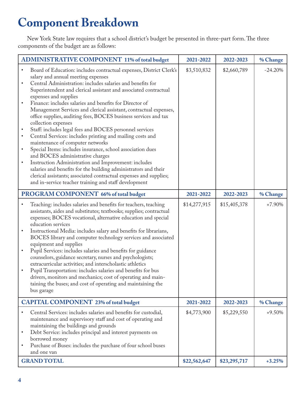# **Component Breakdown**

New York State law requires that a school district's budget be presented in three-part form. The three components of the budget are as follows:

| <b>ADMINISTRATIVE COMPONENT 11% of total budget</b>                        |                                                                                                                                                                                                                                                                                                                                                                                                                                                                                                                                                                                                                                                                                                                                                                                                                                                                                                                                                                                                                        | 2021-2022    | 2022-2023    | % Change  |
|----------------------------------------------------------------------------|------------------------------------------------------------------------------------------------------------------------------------------------------------------------------------------------------------------------------------------------------------------------------------------------------------------------------------------------------------------------------------------------------------------------------------------------------------------------------------------------------------------------------------------------------------------------------------------------------------------------------------------------------------------------------------------------------------------------------------------------------------------------------------------------------------------------------------------------------------------------------------------------------------------------------------------------------------------------------------------------------------------------|--------------|--------------|-----------|
| $\bullet$<br>$\bullet$<br>$\bullet$<br>$\bullet$<br>$\bullet$<br>$\bullet$ | Board of Education: includes contractual expenses, District Clerk's<br>salary and annual meeting expenses<br>Central Administration: includes salaries and benefits for<br>Superintendent and clerical assistant and associated contractual<br>expenses and supplies<br>Finance: includes salaries and benefits for Director of<br>Management Services and clerical assistant, contractual expenses,<br>office supplies, auditing fees, BOCES business services and tax<br>collection expenses<br>Staff: includes legal fees and BOCES personnel services<br>Central Services: includes printing and mailing costs and<br>maintenance of computer networks<br>Special Items: includes insurance, school association dues<br>and BOCES administrative charges<br>Instruction Administration and Improvement: includes<br>salaries and benefits for the building administrators and their<br>clerical assistants; associated contractual expenses and supplies;<br>and in-service teacher training and staff development | \$3,510,832  | \$2,660,789  | $-24.20%$ |
| PROGRAM COMPONENT 66% of total budget                                      |                                                                                                                                                                                                                                                                                                                                                                                                                                                                                                                                                                                                                                                                                                                                                                                                                                                                                                                                                                                                                        | 2021-2022    | 2022-2023    | % Change  |
| $\bullet$<br>$\bullet$                                                     | Teaching: includes salaries and benefits for teachers, teaching<br>assistants, aides and substitutes; textbooks; supplies; contractual<br>expenses; BOCES vocational, alternative education and special<br>education services<br>Instructional Media: includes salary and benefits for librarians,<br>BOCES library and computer technology services and associated<br>equipment and supplies<br>Pupil Services: includes salaries and benefits for guidance<br>counselors, guidance secretary, nurses and psychologists;<br>extracurricular activities; and interscholastic athletics<br>Pupil Transportation: includes salaries and benefits for bus<br>drivers, monitors and mechanics; cost of operating and main-<br>taining the buses; and cost of operating and maintaining the<br>bus garage                                                                                                                                                                                                                   | \$14,277,915 | \$15,405,378 | $+7.90%$  |
| <b>CAPITAL COMPONENT 23% of total budget</b>                               |                                                                                                                                                                                                                                                                                                                                                                                                                                                                                                                                                                                                                                                                                                                                                                                                                                                                                                                                                                                                                        | 2021-2022    | 2022-2023    | % Change  |
| $\bullet$<br>$\bullet$                                                     | Central Services: includes salaries and benefits for custodial,<br>maintenance and supervisory staff and cost of operating and<br>maintaining the buildings and grounds<br>Debt Service: includes principal and interest payments on<br>borrowed money<br>Purchase of Buses: includes the purchase of four school buses<br>and one van                                                                                                                                                                                                                                                                                                                                                                                                                                                                                                                                                                                                                                                                                 | \$4,773,900  | \$5,229,550  | $+9.50%$  |
|                                                                            | <b>GRAND TOTAL</b>                                                                                                                                                                                                                                                                                                                                                                                                                                                                                                                                                                                                                                                                                                                                                                                                                                                                                                                                                                                                     | \$22,562,647 | \$23,295,717 | $+3.25%$  |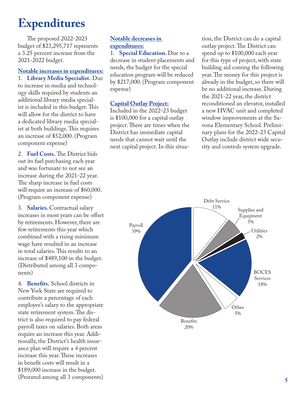# **Expenditures**

The proposed 2022-2023 budget of \$23,295,717 represents a 3.25 percent increase from the 2021-2022 budget.

## **Notable increases in expenditures:**

1. **Library Media Specialist.** Due to increase in media and technology skills required by students an additional library media specialist is included in this budget. This will allow for the district to have a dedicated library media specialist at both buildings. This requires an increase of \$52,000. (Program component expense)

2. **Fuel Costs.** The District bids out its fuel purchasing each year and was fortunate to not see an increase during the 2021-22 year. The sharp increase in fuel costs will require an increase of \$60,000. (Program component expense)

3. **Salaries.** Contractual salary increases in most years can be offset by retirements. However, there are few retirements this year which combined with a rising minimum wage have resulted in an increase in total salaries. This results to an increase of \$489,100 in the budget. (Distributed among all 3 components)

4. **Benefits.** School districts in New York State are required to contribute a percentage of each employee's salary to the appropriate state retirement system. The district is also required to pay federal payroll taxes on salaries. Both areas require an increase this year. Additionally, the District's health insurance plan will require a 4 percent increase this year. These increases in benefit costs will result in a \$189,000 increase in the budget. (Prorated among all 3 components)

## **Notable decreases in expenditures:**

1. **Special Education.** Due to a decrease in student placements and needs, the budget for the special education program will be reduced by \$217,000. (Program component expense)

### **Capital Outlay Project:**

Included in the 2022-23 budget is \$100,000 for a capital outlay project. There are times when the District has immediate capital needs that cannot wait until the next capital project. In this situation, the District can do a capital outlay project. The District can spend up to \$100,000 each year for this type of project, with state building aid coming the following year. The money for this project is already in the budget, so there will be no additional increase. During the 2021-22 year, the district reconditioned an elevator, installed a new HVAC unit and completed window improvements at the Savona Elementary School. Preliminary plans for the 2022-23 Capital Outlay include district wide security and controls system upgrade.

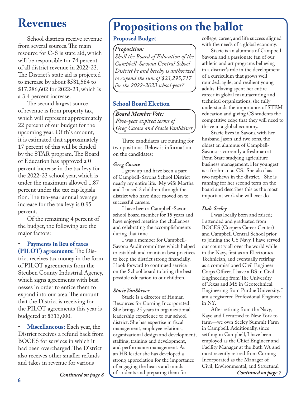# **Revenues**

School districts receive revenue from several sources. The main resource for C-S is state aid, which will be responsible for 74 percent of all district revenue in 2022-23. The District's state aid is projected to increase by about \$581,584 to \$17,286,602 for 2022-23, which is a 3.4 percent increase.

The second largest source of revenue is from property tax, which will represent approximately 22 percent of our budget for the upcoming year. Of this amount, it is estimated that approximately 17 percent of this will be funded by the STAR program. The Board of Education has approved a 0 percent increase in the tax levy for the 2022-23 school year, which is under the maximum allowed 1.87 percent under the tax cap legislation. The ten-year annual average increase for the tax levy is 0.95 percent.

Of the remaining 4 percent of the budget, the following are the major factors:

• **Payments in lieu of taxes (PILOT) agreements:** The District receives tax money in the form of PILOT agreements from the Steuben County Industrial Agency, which signs agreements with businesses in order to entice them to expand into our area. The amount that the District is receiving for the PILOT agreements this year is budgeted at \$313,000.

• **Miscellaneous:** Each year, the District receives a refund back from BOCES for services in which it had been overcharged. The District also receives other smaller refunds and takes in revenue for various

# **Propositions on the ballot**

## **Proposed Budget**

#### *Proposition:*

*Shall the Board of Education of the Campbell-Savona Central School District be and hereby is authorized to expend the sum of \$23,295,717 for the 2022-2023 school year?*

## **School Board Election**

*Board Member Vote: Five-year expired terms of Greg Cacace and Stacie VanSkiver*

Three candidates are running for two positions. Below is information on the candidates:

#### *Greg Cacace*

I grew up and have been a part of Campbell-Savona School District nearly my entire life. My wife Martha and I raised 2 children through the district who have since moved on to successful careers.

I have been a Campbell-Savona school board member for 15 years and have enjoyed meeting the challenges and celebrating the accomplishments during that time.

I was a member for Campbell-Savona Audit committee which helped to establish and maintain best practices to keep the district strong financially. I look forward to continued service on the School board to bring the best possible education to our children.

#### *Stacie VanSkiver*

Stacie is a director of Human Resources for Corning Incorporated. She brings 25 years in organizational leadership experience to our school district. She has expertise in fiscal management, employee relations, organizational design and development, staffing, training and development, and performance management. As an HR leader she has developed a strong appreciation for the importance of engaging the hearts and minds of students and preparing them for *Continued on page 8 Continued on page 7*

college, career, and life success aligned with the needs of a global economy.

Stacie is an alumnus of Campbell-Savona and a passionate fan of our athletic and art programs believing in a district's role in the development of a curriculum that grows well rounded, agile, and resilient young adults. Having spent her entire career in global manufacturing and technical organizations, she fully understands the importance of STEM education and giving CS students the competitive edge that they will need to thrive in a global economy.

Stacie lives in Savona with her husband Jason and two sons, the oldest an alumnus of Campbell-Savona is currently a freshman at Penn State studying agriculture business management. Her youngest is a freshman at CS. She also has two nephews in the district. She is running for her second term on the board and describes this as the most important work she will ever do.

### *Dale Seeley*

I was locally born and raised; I attended and graduated from BOCES (Coopers Career Center) and Campbell Central School prior to joining the US Navy. I have served our country all over the world while in the Navy, first as an Electronics Technician, and eventually retiring as a commissioned Civil Engineer Corps Officer. I have a BS in Civil Engineering from The University of Texas and MS in Geotechnical Engineering from Purdue University. I am a registered Professional Engineer in NY.

After retiring from the Navy, Kaye and I returned to New York to farm—we own Seeley Summit Farm in Campbell. Additionally, since settling in Campbell, I have been employed as the Chief Engineer and Facility Manager at the Bath VA and most recently retired from Corning Incorporated as the Manager of Civil, Environmental, and Structural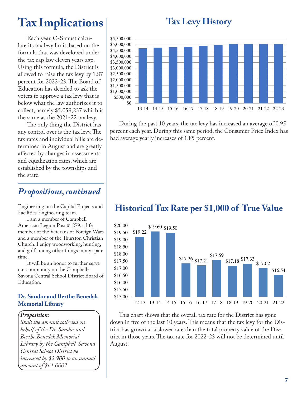# **Tax Levy History Tax Levy History**

# **Tax Implications**

Each year, C-S must calculate its tax levy limit, based on the formula that was developed under the tax cap law eleven years ago. Using this formula, the District is allowed to raise the tax levy by 1.87 percent for 2022-23. The Board of Education has decided to ask the voters to approve a tax levy that is below what the law authorizes it to collect, namely \$5,059,237 which is the same as the 2021-22 tax levy.

The only thing the District has any control over is the tax levy. The tax rates and individual bills are determined in August and are greatly affected by changes in assessments and equalization rates, which are established by the townships and the state.

## *Propositions, continued*

Engineering on the Capital Projects and Facilities Engineering team.

I am a member of Campbell American Legion Post #1279, a life member of the Veterans of Foreign Wars and a member of the Thurston Christian Church. I enjoy woodworking, hunting, and golf among other things in my spare time.

It will be an honor to further serve our community on the Campbell-Savona Central School District Board of Education.

#### **Dr. Sandor and Berthe Benedak Memorial Library**

#### *Proposition:*

*Shall the amount collected on behalf of the Dr. Sandor and Berthe Benedek Memorial Library by the Campbell-Savona Central School District be increased by \$2,900 to an annual amount of \$61,000?*



During the past 10 years, the tax levy has increased an average of 0.95 percent each year. During this same period, the Consumer Price Index has had average yearly increases of 1.85%. had average yearly increases of 1.85 percent.

## **Historical Tax Rate per \$1,000 of True Value Historical Tax Rate per \$1000 of True Value**



Inis chart shows that the overall tax rate for the District has gone  $\parallel$  down in five of the last 10 years. This means that the tax levy for the Dis- $\parallel$  trict has grown at a slower rate than the total property value of the District in those years. The tax rate for 2022-23 will not be determined until August.